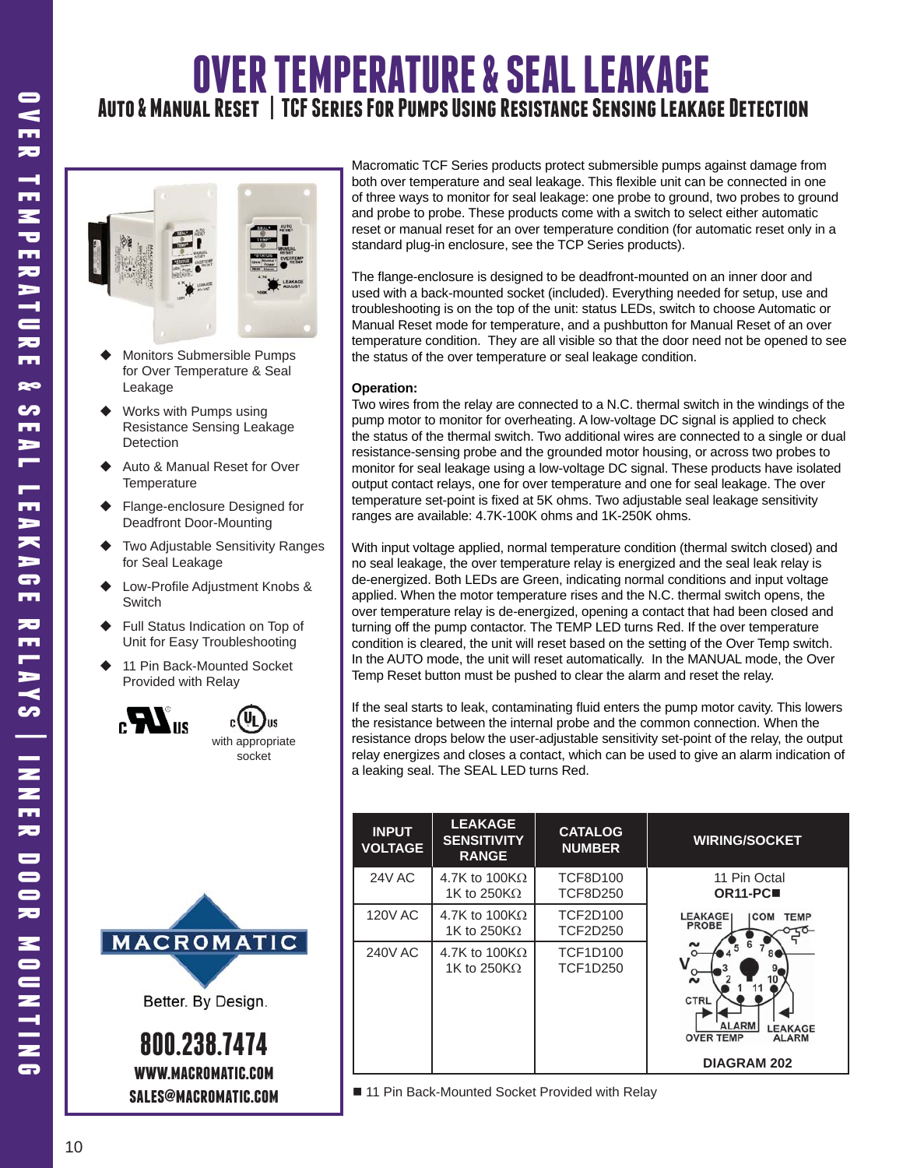# **OVER TEMPERATURE & SEAL LEAKAGE Auto & Manual Reset | TCF Series For Pumps Using Resistance Sensing Leakage Detection**



- Monitors Submersible Pumps for Over Temperature & Seal Leakage
- Works with Pumps using Resistance Sensing Leakage **Detection**
- ◆ Auto & Manual Reset for Over **Temperature**
- ◆ Flange-enclosure Designed for Deadfront Door-Mounting
- Two Adjustable Sensitivity Ranges for Seal Leakage
- ♦ Low-Profile Adjustment Knobs & Switch
- Full Status Indication on Top of Unit for Easy Troubleshooting
- 11 Pin Back-Mounted Socket Provided with Relay



**US** with appropriate socket



Better. By Design.

**800.238.7474 www.macromatic.com sales@macromatic.com** Macromatic TCF Series products protect submersible pumps against damage from both over temperature and seal leakage. This flexible unit can be connected in one of three ways to monitor for seal leakage: one probe to ground, two probes to ground and probe to probe. These products come with a switch to select either automatic reset or manual reset for an over temperature condition (for automatic reset only in a standard plug-in enclosure, see the TCP Series products).

The flange-enclosure is designed to be deadfront-mounted on an inner door and used with a back-mounted socket (included). Everything needed for setup, use and troubleshooting is on the top of the unit: status LEDs, switch to choose Automatic or Manual Reset mode for temperature, and a pushbutton for Manual Reset of an over temperature condition. They are all visible so that the door need not be opened to see the status of the over temperature or seal leakage condition.

### **Operation:**

Two wires from the relay are connected to a N.C. thermal switch in the windings of the pump motor to monitor for overheating. A low-voltage DC signal is applied to check the status of the thermal switch. Two additional wires are connected to a single or dual resistance-sensing probe and the grounded motor housing, or across two probes to monitor for seal leakage using a low-voltage DC signal. These products have isolated output contact relays, one for over temperature and one for seal leakage. The over temperature set-point is fixed at 5K ohms. Two adjustable seal leakage sensitivity ranges are available: 4.7K-100K ohms and 1K-250K ohms.

With input voltage applied, normal temperature condition (thermal switch closed) and no seal leakage, the over temperature relay is energized and the seal leak relay is de-energized. Both LEDs are Green, indicating normal conditions and input voltage applied. When the motor temperature rises and the N.C. thermal switch opens, the over temperature relay is de-energized, opening a contact that had been closed and turning off the pump contactor. The TEMP LED turns Red. If the over temperature condition is cleared, the unit will reset based on the setting of the Over Temp switch. In the AUTO mode, the unit will reset automatically. In the MANUAL mode, the Over Temp Reset button must be pushed to clear the alarm and reset the relay.

If the seal starts to leak, contaminating fluid enters the pump motor cavity. This lowers the resistance between the internal probe and the common connection. When the resistance drops below the user-adjustable sensitivity set-point of the relay, the output relay energizes and closes a contact, which can be used to give an alarm indication of a leaking seal. The SEAL LED turns Red.

| <b>INPUT</b><br><b>VOLTAGE</b> | <b>LEAKAGE</b><br><b>SENSITIVITY</b><br><b>RANGE</b> | <b>CATALOG</b><br><b>NUMBER</b>    | <b>WIRING/SOCKET</b>                                                                                  |
|--------------------------------|------------------------------------------------------|------------------------------------|-------------------------------------------------------------------------------------------------------|
| <b>24V AC</b>                  | 4.7K to $100K\Omega$<br>1K to 250K $\Omega$          | <b>TCF8D100</b><br><b>TCF8D250</b> | 11 Pin Octal<br>OR <sub>11-PC</sub> ■                                                                 |
| 120V AC                        | 4.7K to 100K $\Omega$<br>1K to 250K $\Omega$         | <b>TCF2D100</b><br>TCF2D250        | <b>LEAKAGE</b><br><b>COM</b><br><b>TEMP</b><br><b>PROBE</b>                                           |
| 240V AC                        | 4.7K to $100K\Omega$<br>1K to 250K $\Omega$          | <b>TCF1D100</b><br><b>TCF1D250</b> | N<br><b>CTRL</b><br><b>ALARM</b><br>LEAKAGE<br><b>OVER TEMP</b><br><b>ALARM</b><br><b>DIAGRAM 202</b> |

■ 11 Pin Back-Mounted Socket Provided with Relay